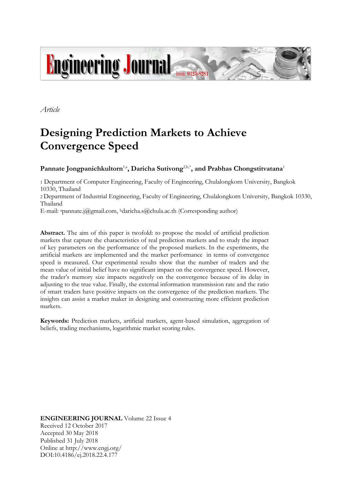

*Article*

# **Designing Prediction Markets to Achieve Convergence Speed**

# Pannate Jongpanichkultorn<sup>1,a</sup>, Daricha Sutivong<sup>2,b,\*</sup>, and Prabhas Chongstitvatana<sup>1</sup>

1 Department of Computer Engineering, Faculty of Engineering, Chulalongkorn University, Bangkok 10330, Thailand

2 Department of Industrial Engineering, Faculty of Engineering, Chulalongkorn University, Bangkok 10330, Thailand

E-mail: apannate.j@gmail.com, bdaricha.s@chula.ac.th (Corresponding author)

**Abstract.** The aim of this paper is twofold: to propose the model of artificial prediction markets that capture the characteristics of real prediction markets and to study the impact of key parameters on the performance of the proposed markets. In the experiments, the artificial markets are implemented and the market performance in terms of convergence speed is measured. Our experimental results show that the number of traders and the mean value of initial belief have no significant impact on the convergence speed. However, the trader's memory size impacts negatively on the convergence because of its delay in adjusting to the true value. Finally, the external information transmission rate and the ratio of smart traders have positive impacts on the convergence of the prediction markets. The insights can assist a market maker in designing and constructing more efficient prediction markets.

**Keywords:** Prediction markets, artificial markets, agent-based simulation, aggregation of beliefs, trading mechanisms, logarithmic market scoring rules.

**ENGINEERING JOURNAL** Volume 22 Issue 4 Received 12 October 2017 Accepted 30 May 2018 Published 31 July 2018 Online at http://www.engj.org/ DOI:10.4186/ej.2018.22.4.177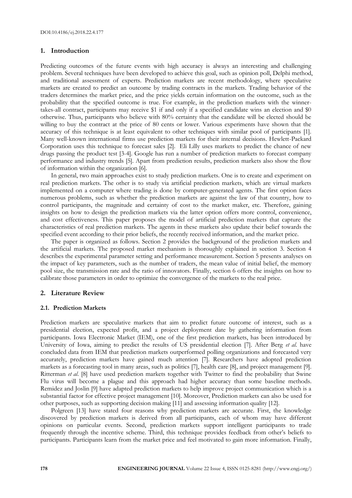# **1. Introduction**

Predicting outcomes of the future events with high accuracy is always an interesting and challenging problem. Several techniques have been developed to achieve this goal, such as opinion poll, Delphi method, and traditional assessment of experts. Prediction markets are recent methodology, where speculative markets are created to predict an outcome by trading contracts in the markets. Trading behavior of the traders determines the market price, and the price yields certain information on the outcome, such as the probability that the specified outcome is true. For example, in the prediction markets with the winnertakes-all contract, participants may receive \$1 if and only if a specified candidate wins an election and \$0 otherwise. Thus, participants who believe with 80% certainty that the candidate will be elected should be willing to buy the contract at the price of 80 cents or lower. Various experiments have shown that the accuracy of this technique is at least equivalent to other techniques with similar pool of participants [1]. Many well-known international firms use prediction markets for their internal decisions. Hewlett-Packard Corporation uses this technique to forecast sales [2]. Eli Lilly uses markets to predict the chance of new drugs passing the product test [3-4]. Google has run a number of prediction markets to forecast company performance and industry trends [5]. Apart from prediction results, prediction markets also show the flow of information within the organization [6].

In general, two main approaches exist to study prediction markets. One is to create and experiment on real prediction markets. The other is to study via artificial prediction markets, which are virtual markets implemented on a computer where trading is done by computer-generated agents. The first option faces numerous problems, such as whether the prediction markets are against the law of that country, how to control participants, the magnitude and certainty of cost to the market maker, etc. Therefore, gaining insights on how to design the prediction markets via the latter option offers more control, convenience, and cost effectiveness. This paper proposes the model of artificial prediction markets that capture the characteristics of real prediction markets. The agents in these markets also update their belief towards the specified event according to their prior beliefs, the recently received information, and the market price.

The paper is organized as follows. Section 2 provides the background of the prediction markets and the artificial markets. The proposed market mechanism is thoroughly explained in section 3. Section 4 describes the experimental parameter setting and performance measurement. Section 5 presents analyses on the impact of key parameters, such as the number of traders, the mean value of initial belief, the memory pool size, the transmission rate and the ratio of innovators. Finally, section 6 offers the insights on how to calibrate those parameters in order to optimize the convergence of the markets to the real price.

#### **2. Literature Review**

#### **2.1. Prediction Markets**

Prediction markets are speculative markets that aim to predict future outcome of interest, such as a presidential election, expected profit, and a project deployment date by gathering information from participants. Iowa Electronic Market (IEM), one of the first prediction markets, has been introduced by University of Iowa, aiming to predict the results of US presidential election [7]. After Berg *et al*. have concluded data from IEM that prediction markets outperformed polling organizations and forecasted very accurately, prediction markets have gained much attention [7]. Researchers have adopted prediction markets as a forecasting tool in many areas, such as politics [7], health care [8], and project management [9]. Ritterman *et al*. [8] have used prediction markets together with Twitter to find the probability that Swine Flu virus will become a plague and this approach had higher accuracy than some baseline methods. Remidez and Joslin [9] have adapted prediction markets to help improve project communication which is a substantial factor for effective project management [10]. Moreover, Prediction markets can also be used for other purposes, such as supporting decision making [11] and assessing information quality [12].

Polgreen [13] have stated four reasons why prediction markets are accurate. First, the knowledge discovered by prediction markets is derived from all participants, each of whom may have different opinions on particular events. Second, prediction markets support intelligent participants to trade frequently through the incentive scheme. Third, this technique provides feedback from other's beliefs to participants. Participants learn from the market price and feel motivated to gain more information. Finally,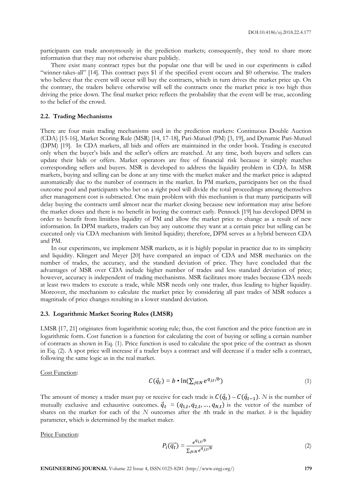participants can trade anonymously in the prediction markets; consequently, they tend to share more information that they may not otherwise share publicly.

There exist many contract types but the popular one that will be used in our experiments is called "winner-takes-all" [14]. This contract pays \$1 if the specified event occurs and \$0 otherwise. The traders who believe that the event will occur will buy the contracts, which in turn drives the market price up. On the contrary, the traders believe otherwise will sell the contracts once the market price is too high thus driving the price down. The final market price reflects the probability that the event will be true, according to the belief of the crowd.

# **2.2. Trading Mechanisms**

There are four main trading mechanisms used in the prediction markets: Continuous Double Auction (CDA) [15-16], Market Scoring Rule (MSR) [14, 17-18], Pari-Mutuel (PM) [3, 19], and Dynamic Pari-Mutuel (DPM) [19]. In CDA markets, all bids and offers are maintained in the order book. Trading is executed only when the buyer's bids and the seller's offers are matched. At any time, both buyers and sellers can update their bids or offers. Market operators are free of financial risk because it simply matches corresponding sellers and buyers. MSR is developed to address the liquidity problem in CDA. In MSR markets, buying and selling can be done at any time with the market maker and the market price is adapted automatically due to the number of contracts in the market. In PM markets, participants bet on the fixed outcome pool and participants who bet on a right pool will divide the total proceedings among themselves after management cost is subtracted. One main problem with this mechanism is that many participants will delay buying the contracts until almost near the market closing because new information may arise before the market closes and there is no benefit in buying the contract early. Pennock [19] has developed DPM in order to benefit from limitless liquidity of PM and allow the market price to change as a result of new information. In DPM markets, traders can buy any outcome they want at a certain price but selling can be executed only via CDA mechanism with limited liquidity; therefore, DPM serves as a hybrid between CDA and PM.

In our experiments, we implement MSR markets, as it is highly popular in practice due to its simplicity and liquidity. Klingert and Meyer [20] have compared an impact of CDA and MSR mechanics on the number of trades, the accuracy, and the standard deviation of price. They have concluded that the advantages of MSR over CDA include higher number of trades and less standard deviation of price; however, accuracy is independent of trading mechanisms. MSR facilitates more trades because CDA needs at least two traders to execute a trade, while MSR needs only one trader, thus leading to higher liquidity. Moreover, the mechanism to calculate the market price by considering all past trades of MSR reduces a magnitude of price changes resulting in a lower standard deviation.

#### **2.3. Logarithmic Market Scoring Rules (LMSR)**

LMSR [17, 21] originates from logarithmic scoring rule; thus, the cost function and the price function are in logarithmic form. Cost function is a function for calculating the cost of buying or selling a certain number of contracts as shown in Eq. (1). Price function is used to calculate the spot price of the contract as shown in Eq. (2). A spot price will increase if a trader buys a contract and will decrease if a trader sells a contract, following the same logic as in the real market.

Cost Function:

$$
C(\vec{q}_t) = b \cdot \ln(\sum_{j \in N} e^{q_{j,t}/b})
$$
\n(1)

The amount of money a trader must pay or receive for each trade is  $C(\vec{q}_t) - C(\vec{q}_{t-1})$ . *N* is the number of mutually exclusive and exhaustive outcomes.  $\vec{q}_t = (q_{1,t}, q_{2,t}, ..., q_{N,t})$  is the vector of the number of shares on the market for each of the *N* outcomes after the *t*th trade in the market. *b* is the liquidity parameter, which is determined by the market maker.

Price Function:

$$
P_i(\overrightarrow{q_t}) = \frac{e^{q_{i,t}/b}}{\sum_{j \in N} e^{q_{j,t}/b}}
$$
(2)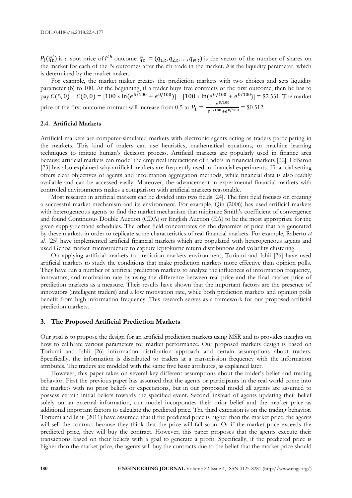$P_i(\overrightarrow{q_t})$  is a spot price of  $i^{th}$  outcome.  $\overrightarrow{q_t} = (q_{1,t}, q_{2,t}, ..., q_{N,t})$  is the vector of the number of shares on the market for each of the *N* outcomes after the *t*th trade in the market. *b* is the liquidity parameter, which is determined by the market maker.

For example, the market maker creates the prediction markets with two choices and sets liquidity parameter (b) to 100. At the beginning, if a trader buys five contracts of the first outcome, then he has to pay  $C(5, 0) - C(0, 0) = [100 \times \ln(e^{5/100} + e^{0/100})] - [100 \times \ln(e^{0/100} + e^{0/100})] = $2.531$ . The market price of the first outcome contract will increase from 0.5 to  $P_1 = \frac{e^{5/100}}{e^{5/100} + e^{0.5}}$  $\frac{e}{e^{5/100}+e^{0/100}}$  = \$0.512.

## **2.4. Artificial Markets**

Artificial markets are computer-simulated markets with electronic agents acting as traders participating in the markets. This kind of traders can use heuristics, mathematical equations, or machine learning techniques to imitate human's decision process. Artificial markets are popularly used in finance area because artificial markets can model the empirical interactions of traders in financial markets [22]. LeBaron [23] has also explained why artificial markets are frequently used in financial experiments. Financial setting offers clear objectives of agents and information aggregation methods, while financial data is also readily available and can be accessed easily. Moreover, the advancement in experimental financial markets with controlled environments makes a comparison with artificial markets reasonable.

Most research in artificial markets can be divided into two fields [24]. The first field focuses on creating a successful market mechanism and its environment. For example, Qin (2006) has used artificial markets with heterogeneous agents to find the market mechanism that minimize Smith's coefficient of convergence and found Continuous Double Auction (CDA) or English Auction (EA) to be the most appropriate for the given supply-demand schedules. The other field concentrates on the dynamics of price that are generated by these markets in order to replicate some characteristics of real financial markets. For example, Raberto *et al*. [25] have implemented artificial financial markets which are populated with heterogeneous agents and used Genoa market microstructure to capture leptokurtic return distributions and volatility clustering.

On applying artificial markets to prediction markets environment, Toriumi and Ishii [26] have used artificial markets to study the conditions that make prediction markets more effective than opinion polls. They have run a number of artificial prediction markets to analyze the influences of information frequency, innovators, and motivation rate by using the difference between real price and the final market price of prediction markets as a measure. Their results have shown that the important factors are the presence of innovators (intelligent traders) and a low motivation rate, while both prediction markets and opinion polls benefit from high information frequency. This research serves as a framework for our proposed artificial prediction markets.

#### **3. The Proposed Artificial Prediction Markets**

Our goal is to propose the design for an artificial prediction markets using MSR and to provides insights on how to calibrate various parameters for market performance. Our proposed markets design is based on Toriumi and Ishii [26] information distribution approach and certain assumptions about traders. Specifically, the information is distributed to traders at a transmission frequency with the information attributes. The traders are modeled with the same five basic attributes, as explained later.

However, this paper takes on several key different assumptions about the trader's belief and trading behavior. First the previous paper has assumed that the agents or participants in the real world come into the markets with no prior beliefs or expectations, but in our proposed model all agents are assumed to possess certain initial beliefs towards the specified event. Second, instead of agents updating their belief solely on an external information, our model incorporates their prior belief and the market price as additional important factors to calculate the predicted price. The third extension is on the trading behavior. Toriumi and Ishii (2011) have assumed that if the predicted price is higher than the market price, the agents will sell the contract because they think that the price will fall soon. Or if the market price exceeds the predicted price, they will buy the contract. However, this paper proposes that the agents execute their transactions based on their beliefs with a goal to generate a profit. Specifically, if the predicted price is higher than the market price, the agents will buy the contracts due to the belief that the market price should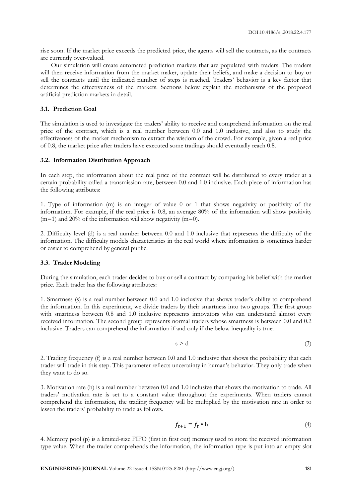rise soon. If the market price exceeds the predicted price, the agents will sell the contracts, as the contracts are currently over-valued.

Our simulation will create automated prediction markets that are populated with traders. The traders will then receive information from the market maker, update their beliefs, and make a decision to buy or sell the contracts until the indicated number of steps is reached. Traders' behavior is a key factor that determines the effectiveness of the markets. Sections below explain the mechanisms of the proposed artificial prediction markets in detail.

# **3.1. Prediction Goal**

The simulation is used to investigate the traders' ability to receive and comprehend information on the real price of the contract, which is a real number between 0.0 and 1.0 inclusive, and also to study the effectiveness of the market mechanism to extract the wisdom of the crowd. For example, given a real price of 0.8, the market price after traders have executed some tradings should eventually reach 0.8.

#### **3.2. Information Distribution Approach**

In each step, the information about the real price of the contract will be distributed to every trader at a certain probability called a transmission rate, between 0.0 and 1.0 inclusive. Each piece of information has the following attributes:

1. Type of information (m) is an integer of value 0 or 1 that shows negativity or positivity of the information. For example, if the real price is 0.8, an average 80% of the information will show positivity  $(m=1)$  and 20% of the information will show negativity  $(m=0)$ .

2. Difficulty level (d) is a real number between 0.0 and 1.0 inclusive that represents the difficulty of the information. The difficulty models characteristics in the real world where information is sometimes harder or easier to comprehend by general public.

# **3.3. Trader Modeling**

During the simulation, each trader decides to buy or sell a contract by comparing his belief with the market price. Each trader has the following attributes:

1. Smartness (s) is a real number between 0.0 and 1.0 inclusive that shows trader's ability to comprehend the information. In this experiment, we divide traders by their smartness into two groups. The first group with smartness between 0.8 and 1.0 inclusive represents innovators who can understand almost every received information. The second group represents normal traders whose smartness is between 0.0 and 0.2 inclusive. Traders can comprehend the information if and only if the below inequality is true.

$$
s \ge d \tag{3}
$$

2. Trading frequency (f) is a real number between 0.0 and 1.0 inclusive that shows the probability that each trader will trade in this step. This parameter reflects uncertainty in human's behavior. They only trade when they want to do so.

3. Motivation rate (h) is a real number between 0.0 and 1.0 inclusive that shows the motivation to trade. All traders' motivation rate is set to a constant value throughout the experiments. When traders cannot comprehend the information, the trading frequency will be multiplied by the motivation rate in order to lessen the traders' probability to trade as follows.

$$
f_{t+1} = f_t \bullet \mathbf{h} \tag{4}
$$

4. Memory pool (p) is a limited-size FIFO (first in first out) memory used to store the received information type value. When the trader comprehends the information, the information type is put into an empty slot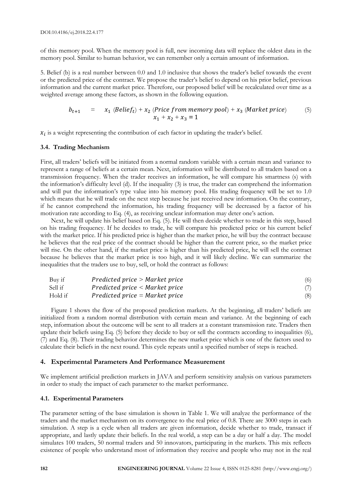of this memory pool. When the memory pool is full, new incoming data will replace the oldest data in the memory pool. Similar to human behavior, we can remember only a certain amount of information.

5. Belief (b) is a real number between 0.0 and 1.0 inclusive that shows the trader's belief towards the event or the predicted price of the contract. We propose the trader's belief to depend on his prior belief, previous information and the current market price. Therefore, our proposed belief will be recalculated over time as a weighted average among these factors, as shown in the following equation.

$$
b_{t+1} = x_1 \ (Belief_t) + x_2 \ (Price\ from\ memory\ pool) + x_3 \ (Market\ price) \tag{5}
$$

$$
x_1 + x_2 + x_3 = 1
$$

 $x_i$  is a weight representing the contribution of each factor in updating the trader's belief.

#### **3.4. Trading Mechanism**

First, all traders' beliefs will be initiated from a normal random variable with a certain mean and variance to represent a range of beliefs at a certain mean. Next, information will be distributed to all traders based on a transmission frequency. When the trader receives an information, he will compare his smartness (s) with the information's difficulty level (d). If the inequality (3) is true, the trader can comprehend the information and will put the information's type value into his memory pool. His trading frequency will be set to 1.0 which means that he will trade on the next step because he just received new information. On the contrary, if he cannot comprehend the information, his trading frequency will be decreased by a factor of his motivation rate according to Eq. (4), as receiving unclear information may deter one's action.

Next, he will update his belief based on Eq. (5). He will then decide whether to trade in this step, based on his trading frequency. If he decides to trade, he will compare his predicted price or his current belief with the market price. If his predicted price is higher than the market price, he will buy the contract because he believes that the real price of the contract should be higher than the current price, so the market price will rise. On the other hand, if the market price is higher than his predicted price, he will sell the contract because he believes that the market price is too high, and it will likely decline. We can summarize the inequalities that the traders use to buy, sell, or hold the contract as follows:

| Buy if  | $Predicted\ price > Market\ price$ | (6) |
|---------|------------------------------------|-----|
| Sell if | $Predicted\ price < Market\ price$ |     |
| Hold if | $Predicted\ price = Market\ price$ | (8) |

Figure 1 shows the flow of the proposed prediction markets. At the beginning, all traders' beliefs are initialized from a random normal distribution with certain mean and variance. At the beginning of each step, information about the outcome will be sent to all traders at a constant transmission rate. Traders then update their beliefs using Eq. (5) before they decide to buy or sell the contracts according to inequalities (6), (7) and Eq. (8). Their trading behavior determines the new market price which is one of the factors used to calculate their beliefs in the next round. This cycle repeats until a specified number of steps is reached.

# **4. Experimental Parameters And Performance Measurement**

We implement artificial prediction markets in JAVA and perform sensitivity analysis on various parameters in order to study the impact of each parameter to the market performance.

# **4.1. Experimental Parameters**

The parameter setting of the base simulation is shown in Table 1. We will analyze the performance of the traders and the market mechanism on its convergence to the real price of 0.8. There are 3000 steps in each simulation. A step is a cycle when all traders are given information, decide whether to trade, transact if appropriate, and lastly update their beliefs. In the real world, a step can be a day or half a day. The model simulates 100 traders, 50 normal traders and 50 innovators, participating in the markets. This mix reflects existence of people who understand most of information they receive and people who may not in the real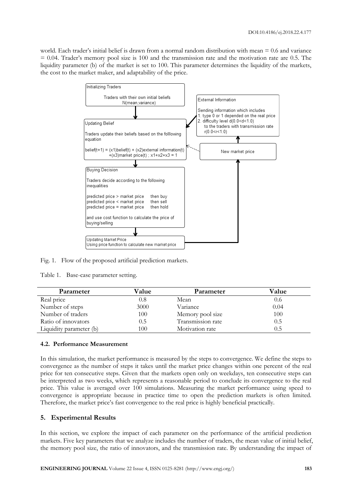world. Each trader's initial belief is drawn from a normal random distribution with mean = 0.6 and variance  $= 0.04$ . Trader's memory pool size is 100 and the transmission rate and the motivation rate are 0.5. The liquidity parameter (b) of the market is set to 100. This parameter determines the liquidity of the markets, the cost to the market maker, and adaptability of the price.



Fig. 1. Flow of the proposed artificial prediction markets.

Table 1. Base-case parameter setting.

| Parameter               | Value | Parameter         | Value   |
|-------------------------|-------|-------------------|---------|
| Real price              | 0.8   | Mean              | 0.6     |
| Number of steps         | 3000  | Variance          | 0.04    |
| Number of traders       | 100   | Memory pool size  | 100     |
| Ratio of innovators     | 0.5   | Transmission rate | $0.5\,$ |
| Liquidity parameter (b) | 100   | Motivation rate   | 0.5     |

# **4.2. Performance Measurement**

In this simulation, the market performance is measured by the steps to convergence. We define the steps to convergence as the number of steps it takes until the market price changes within one percent of the real price for ten consecutive steps. Given that the markets open only on weekdays, ten consecutive steps can be interpreted as two weeks, which represents a reasonable period to conclude its convergence to the real price. This value is averaged over 100 simulations. Measuring the market performance using speed to convergence is appropriate because in practice time to open the prediction markets is often limited. Therefore, the market price's fast convergence to the real price is highly beneficial practically.

# **5. Experimental Results**

In this section, we explore the impact of each parameter on the performance of the artificial prediction markets. Five key parameters that we analyze includes the number of traders, the mean value of initial belief, the memory pool size, the ratio of innovators, and the transmission rate. By understanding the impact of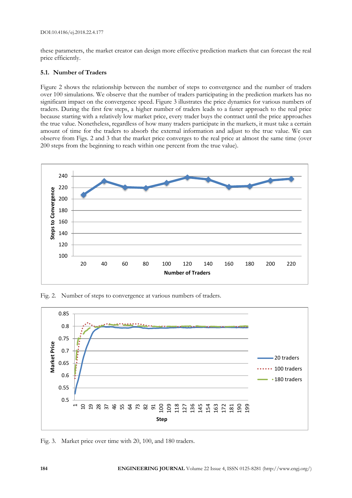these parameters, the market creator can design more effective prediction markets that can forecast the real price efficiently.

# **5.1. Number of Traders**

Figure 2 shows the relationship between the number of steps to convergence and the number of traders over 100 simulations. We observe that the number of traders participating in the prediction markets has no significant impact on the convergence speed. Figure 3 illustrates the price dynamics for various numbers of traders. During the first few steps, a higher number of traders leads to a faster approach to the real price because starting with a relatively low market price, every trader buys the contract until the price approaches the true value. Nonetheless, regardless of how many traders participate in the markets, it must take a certain amount of time for the traders to absorb the external information and adjust to the true value. We can observe from Figs. 2 and 3 that the market price converges to the real price at almost the same time (over 200 steps from the beginning to reach within one percent from the true value).



Fig. 2. Number of steps to convergence at various numbers of traders.



Fig. 3. Market price over time with 20, 100, and 180 traders.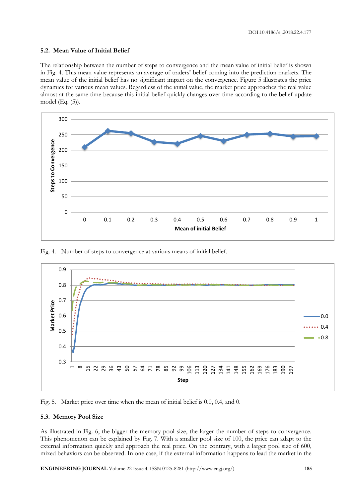# **5.2. Mean Value of Initial Belief**

The relationship between the number of steps to convergence and the mean value of initial belief is shown in Fig. 4. This mean value represents an average of traders' belief coming into the prediction markets. The mean value of the initial belief has no significant impact on the convergence. Figure 5 illustrates the price dynamics for various mean values. Regardless of the initial value, the market price approaches the real value almost at the same time because this initial belief quickly changes over time according to the belief update model (Eq. (5)).



Fig. 4. Number of steps to convergence at various means of initial belief.



Fig. 5. Market price over time when the mean of initial belief is 0.0, 0.4, and 0.

# **5.3. Memory Pool Size**

As illustrated in Fig. 6, the bigger the memory pool size, the larger the number of steps to convergence. This phenomenon can be explained by Fig. 7. With a smaller pool size of 100, the price can adapt to the external information quickly and approach the real price. On the contrary, with a larger pool size of 600, mixed behaviors can be observed. In one case, if the external information happens to lead the market in the

**ENGINEERING JOURNAL** Volume 22 Issue 4, ISSN 0125-8281 (http://www.engj.org/) **185**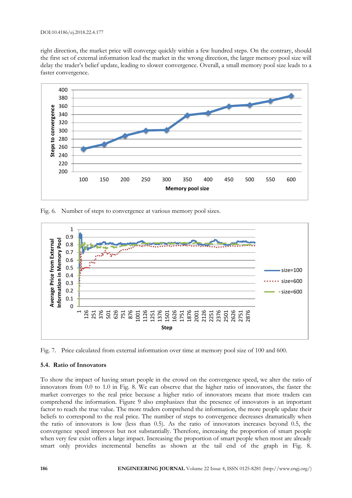#### DOI:10.4186/ej.2018.22.4.177

right direction, the market price will converge quickly within a few hundred steps. On the contrary, should the first set of external information lead the market in the wrong direction, the larger memory pool size will delay the trader's belief update, leading to slower convergence. Overall, a small memory pool size leads to a faster convergence.



Fig. 6. Number of steps to convergence at various memory pool sizes.



Fig. 7. Price calculated from external information over time at memory pool size of 100 and 600.

# **5.4. Ratio of Innovators**

To show the impact of having smart people in the crowd on the convergence speed, we alter the ratio of innovators from 0.0 to 1.0 in Fig. 8. We can observe that the higher ratio of innovators, the faster the market converges to the real price because a higher ratio of innovators means that more traders can comprehend the information. Figure 9 also emphasizes that the presence of innovators is an important factor to reach the true value. The more traders comprehend the information, the more people update their beliefs to correspond to the real price. The number of steps to convergence decreases dramatically when the ratio of innovators is low (less than 0.5). As the ratio of innovators increases beyond 0.5, the convergence speed improves but not substantially. Therefore, increasing the proportion of smart people when very few exist offers a large impact. Increasing the proportion of smart people when most are already smart only provides incremental benefits as shown at the tail end of the graph in Fig. 8.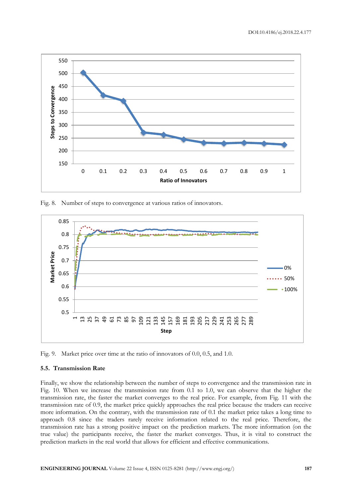

Fig. 8. Number of steps to convergence at various ratios of innovators.



Fig. 9. Market price over time at the ratio of innovators of 0.0, 0.5, and 1.0.

#### **5.5. Transmission Rate**

Finally, we show the relationship between the number of steps to convergence and the transmission rate in Fig. 10. When we increase the transmission rate from 0.1 to 1.0, we can observe that the higher the transmission rate, the faster the market converges to the real price. For example, from Fig. 11 with the transmission rate of 0.9, the market price quickly approaches the real price because the traders can receive more information. On the contrary, with the transmission rate of 0.1 the market price takes a long time to approach 0.8 since the traders rarely receive information related to the real price. Therefore, the transmission rate has a strong positive impact on the prediction markets. The more information (on the true value) the participants receive, the faster the market converges. Thus, it is vital to construct the prediction markets in the real world that allows for efficient and effective communications.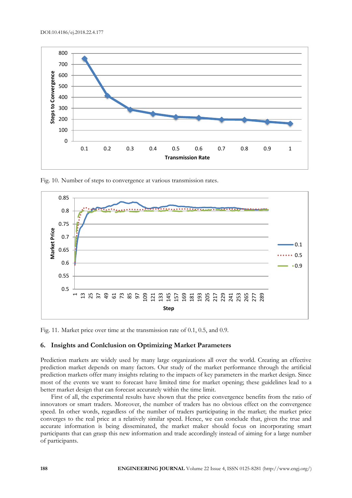

Fig. 10. Number of steps to convergence at various transmission rates.



Fig. 11. Market price over time at the transmission rate of 0.1, 0.5, and 0.9.

# **6. Insights and Conlclusion on Optimizing Market Parameters**

Prediction markets are widely used by many large organizations all over the world. Creating an effective prediction market depends on many factors. Our study of the market performance through the artificial prediction markets offer many insights relating to the impacts of key parameters in the market design. Since most of the events we want to forecast have limited time for market opening; these guidelines lead to a better market design that can forecast accurately within the time limit.

First of all, the experimental results have shown that the price convergence benefits from the ratio of innovators or smart traders. Moreover, the number of traders has no obvious effect on the convergence speed. In other words, regardless of the number of traders participating in the market; the market price converges to the real price at a relatively similar speed. Hence, we can conclude that, given the true and accurate information is being disseminated, the market maker should focus on incorporating smart participants that can grasp this new information and trade accordingly instead of aiming for a large number of participants.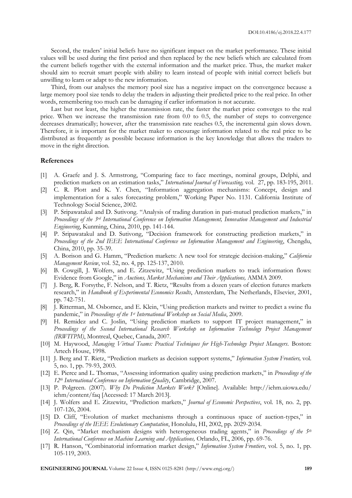Second, the traders' initial beliefs have no significant impact on the market performance. These initial values will be used during the first period and then replaced by the new beliefs which are calculated from the current beliefs together with the external information and the market price. Thus, the market maker should aim to recruit smart people with ability to learn instead of people with initial correct beliefs but unwilling to learn or adapt to the new information.

Third, from our analyses the memory pool size has a negative impact on the convergence because a large memory pool size tends to delay the traders in adjusting their predicted price to the real price. In other words, remembering too much can be damaging if earlier information is not accurate.

Last but not least, the higher the transmission rate, the faster the market price converges to the real price. When we increase the transmission rate from 0.0 to 0.5, the number of steps to convergence decreases dramatically; however, after the transmission rate reaches 0.5, the incremental gain slows down. Therefore, it is important for the market maker to encourage information related to the real price to be distributed as frequently as possible because information is the key knowledge that allows the traders to move in the right direction.

#### **References**

- [1] A. Graefe and J. S. Armstrong, "Comparing face to face meetings, nominal groups, Delphi, and prediction markets on an estimation tasks," *International Journal of Forecasting,* vol. 27, pp. 183-195, 2011.
- [2] C. R. Plott and K. Y. Chen, "Information aggregation mechanisms: Concept, design and implementation for a sales forecasting problem," Working Paper No. 1131. California Institute of Technology Social Science, 2002.
- [3] P. Sripawatakul and D. Sutivong. "Analysis of trading duration in pari-mutuel prediction markets," in *Proceedings of the 3rd International Conference on Information Management, Innovation Management and Industrial Engineering*, Kunming, China, 2010, pp. 141-144.
- [4] P. Sripawatakul and D. Sutivong, "Decision framework for constructing prediction markets," in *Proceedings of the 2nd IEEE International Conference on Information Management and Engineering*, Chengdu, China, 2010, pp. 35-39.
- [5] A. Borison and G. Hamm, "Prediction markets: A new tool for strategic decision-making," *California Management Review*, vol. 52, no. 4, pp. 125-137, 2010.
- [6] B. Cowgill, J. Wolfers, and E. Zitzewitz, "Using prediction markets to track information flows: Evidence from Google," in *Auctions, Market Mechanisms and Their Applications,* AMMA 2009.
- [7] J. Berg, R. Forsythe, F. Nelson, and T. Rietz, "Results from a dozen years of election futures markets research," in *Handbook of Experimental Economics Results*, Amsterdam, The Netherlands, Elsevier, 2001, pp. 742-751.
- [8] J. Ritterman, M. Osbornce, and E. Klein, "Using prediction markets and twitter to predict a swine flu pandemic," in *Proceedings of the 1st International Workshop on Social Media*, 2009.
- [9] H. Remidez and C. Joslin, "Using prediction markets to support IT project management," in *Proceedings of the Second International Research Workshop on Information Technology Project Management (IRWITPM)*, Montreal, Quebec, Canada, 2007.
- [10] M. Haywood, *Managing Virtual Teams: Practical Techniques for High-Technology Project Managers*. Boston: Artech House, 1998.
- [11] J. Berg and T. Rietz, "Prediction markets as decision support systems," *Information System Frontiers,* vol. 5, no. 1, pp. 79-93, 2003.
- [12] E. Pierce and L. Thomas, "Assessing information quality using prediction markets," in *Proceedings of the 12th International Conference on Information Quality*, Cambridge, 2007.
- [13] P. Polgreen. (2007). *Why Do Prediction Markets Work?* [Online]. Available: http://iehm.uiowa.edu/ iehm/content/faq [Accessed: 17 March 2013].
- [14] J. Wolfers and E. Zitzewitz, "Prediction markets," *Journal of Economic Perspectives*, vol. 18, no. 2, pp. 107-126, 2004.
- [15] D. Cliff, "Evolution of market mechanisms through a continuous space of auction-types," in *Proceedings of the IEEE Evolutionary Computation*, Honolulu, HI, 2002, pp. 2029-2034.
- [16] Z. Qin, "Market mechanism designs with heterogeneous trading agents," in *Proceedings of the 5th International Conference on Machine Learning and Applications,* Orlando, FL, 2006, pp. 69-76.
- [17] R. Hanson, "Combinatorial information market design," *Information System Frontiers*, vol. 5, no. 1, pp. 105-119, 2003.

**ENGINEERING JOURNAL** Volume 22 Issue 4, ISSN 0125-8281 (http://www.engj.org/) **189**